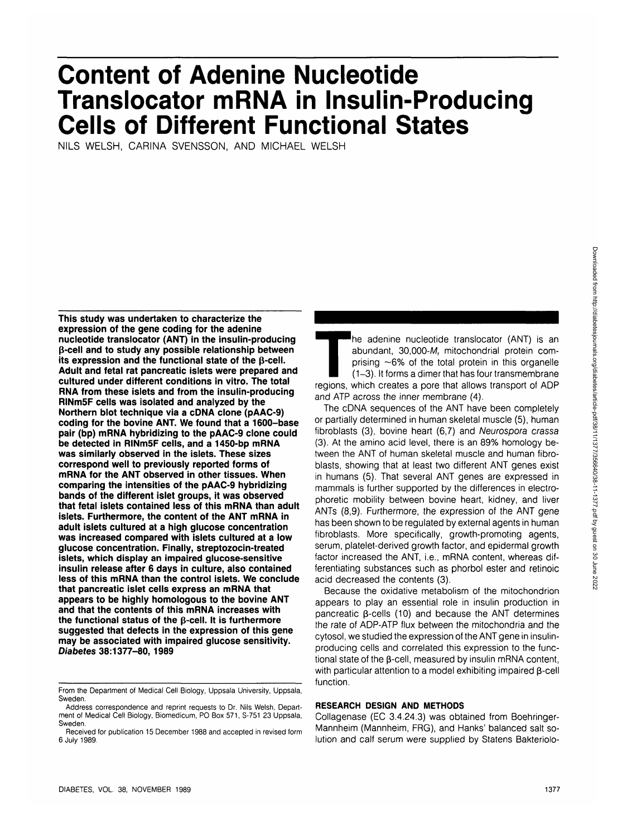# **Content of Adenine Nucleotide Translocator mRNA in Insulin-Producing Cells of Different Functional States**

NILS WELSH, CARINA SVENSSON, AND MICHAEL WELSH

**This study was undertaken to characterize the expression of the gene coding for the adenine nucleotide translocator (ANT) in the insulin-producing p-cell and to study any possible relationship between its expression and the functional state of the p-cell. Adult and fetal rat pancreatic islets were prepared and cultured under different conditions in vitro. The total RNA from these islets and from the insulin-producing RINm5F cells was isolated and analyzed by the Northern blot technique via a cDNA clone (pAAC-9) coding for the bovine ANT. We found that a 1600-base pair (bp) mRNA hybridizing to the pAAC-9 clone could be detected in RINm5F cells, and a 1450-bp mRNA was similarly observed in the islets. These sizes correspond well to previously reported forms of mRNA for the ANT observed in other tissues. When comparing the intensities of the pAAC-9 hybridizing bands of the different islet groups, it was observed that fetal islets contained less of this mRNA than adult islets. Furthermore, the content of the ANT mRNA in adult islets cultured at a high glucose concentration was increased compared with islets cultured at a low glucose concentration. Finally, streptozocin-treated islets, which display an impaired glucose-sensitive insulin release after 6 days in culture, also contained less of this mRNA than the control islets. We conclude that pancreatic islet cells express an mRNA that appears to be highly homologous to the bovine ANT and that the contents of this mRNA increases with the functional status of the p-cell. It is furthermore suggested that defects in the expression of this gene may be associated with impaired glucose sensitivity. Diabetes 38:1377-80, 1989**

The adenine nucleotide translocator (ANT) is an abundant, 30,000- $M_r$  mitochondrial protein comprising ~6% of the total protein in this organelle (1–3). It forms a dimer that has four transmembrane regions, which creates a abundant, 30,000-M, mitochondrial protein comprising  $\sim$  6% of the total protein in this organelle (1-3). It forms a dimer that has four transmembrane and ATP across the inner membrane (4).

The cDNA sequences of the ANT have been completely or partially determined in human skeletal muscle (5), human fibroblasts (3), bovine heart (6,7) and Neurospora crassa (3). At the amino acid level, there is an 89% homology between the ANT of human skeletal muscle and human fibroblasts, showing that at least two different ANT genes exist in humans (5). That several ANT genes are expressed in mammals is further supported by the differences in electrophoretic mobility between bovine heart, kidney, and liver ANTs (8,9). Furthermore, the expression of the ANT gene has been shown to be regulated by external agents in human fibroblasts. More specifically, growth-promoting agents, serum, platelet-derived growth factor, and epidermal growth factor increased the ANT, i.e., mRNA content, whereas differentiating substances such as phorbol ester and retinoic acid decreased the contents (3).

Because the oxidative metabolism of the mitochondrion appears to play an essential role in insulin production in pancreatic  $\beta$ -cells (10) and because the ANT determines the rate of ADP-ATP flux between the mitochondria and the cytosol, we studied the expression of the ANT gene in insulinproducing cells and correlated this expression to the functional state of the B-cell, measured by insulin mRNA content, with particular attention to a model exhibiting impaired B-cell function.

# **RESEARCH DESIGN AND METHODS**

Collagenase (EC 3.4.24.3) was obtained from Boehringer-Mannheim (Mannheim, FRG), and Hanks' balanced salt solution and calf serum were supplied by Statens Bakteriolo-

From the Department of Medical Cell Biology, Uppsala University, Uppsala, Sweden.

Address correspondence and reprint requests to Dr. Nils Welsh, Department of Medical Cell Biology, Biomedicum, PO Box 571, S-751 23 Uppsala, Sweden.

Received for publication 15 December 1988 and accepted in revised form 6 July 1989.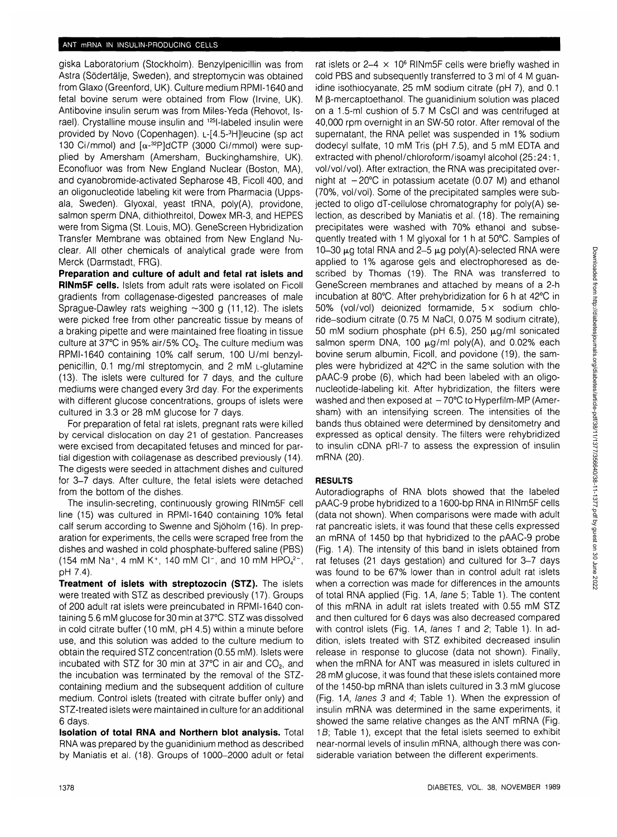giska Laboratorium (Stockholm). Benzylpenicillin was from Astra (Södertälje, Sweden), and streptomycin was obtained from Glaxo (Greenford, UK). Culture medium RPMI-1640 and fetal bovine serum were obtained from Flow (Irvine, UK). Antibovine insulin serum was from Miles-Yeda (Rehovot, Israel). Crystalline mouse insulin and 125l-labeled insulin were provided by Novo (Copenhagen). L-[4.5-3 H]leucine (sp act 130 Ci/mmol) and  $\lceil \alpha^{-32}P \rceil dC T P$  (3000 Ci/mmol) were supplied by Amersham (Amersham, Buckinghamshire, UK). Econofluor was from New England Nuclear (Boston, MA), and cyanobromide-activated Sepharose 4B, Ficoll 400, and an oligonucleotide labeling kit were from Pharmacia (Uppsala, Sweden). Glyoxal, yeast tRNA, poly(A), providone, salmon sperm DNA, dithiothreitol, Dowex MR-3, and HEPES were from Sigma (St. Louis, MO). GeneScreen Hybridization Transfer Membrane was obtained from New England Nuclear. All other chemicals of analytical grade were from Merck (Darmstadt, FRG).

**Preparation and culture of adult and fetal rat islets and RINm5F cells.** Islets from adult rats were isolated on Ficoll gradients from collagenase-digested pancreases of male Sprague-Dawley rats weighing  $\sim$ 300 g (11,12). The islets were picked free from other pancreatic tissue by means of a braking pipette and were maintained free floating in tissue culture at 37°C in 95% air/5% CO<sub>2</sub>. The culture medium was RPMI-1640 containing 10% calf serum, 100 U/ml benzylpenicillin, 0.1 mg/ml streptomycin, and 2 mM L-glutamine (13). The islets were cultured for 7 days, and the culture mediums were changed every 3rd day. For the experiments with different glucose concentrations, groups of islets were cultured in 3.3 or 28 mM glucose for 7 days.

For preparation of fetal rat islets, pregnant rats were killed by cervical dislocation on day 21 of gestation. Pancreases were excised from decapitated fetuses and minced for partial digestion with collagenase as described previously (14). The digests were seeded in attachment dishes and cultured for 3-7 days. After culture, the fetal islets were detached from the bottom of the dishes.

The insulin-secreting, continuously growing RINm5F cell line (15) was cultured in RPMI-1640 containing 10% fetal calf serum according to Swenne and Sjoholm (16). In preparation for experiments, the cells were scraped free from the dishes and washed in cold phosphate-buffered saline (PBS) (154 mM Na<sup>+</sup>, 4 mM K<sup>+</sup>, 140 mM CI<sup>-</sup>, and 10 mM HPO<sub>4</sub><sup>2-</sup>, pH 7.4).

**Treatment of islets with streptozocin (STZ).** The islets were treated with STZ as described previously (17). Groups of 200 adult rat islets were preincubated in RPMI-1640 containing 5.6 mM glucose for 30 min at 37°C. STZ was dissolved in cold citrate buffer (10 mM, pH 4.5) within a minute before use, and this solution was added to the culture medium to obtain the required STZ concentration (0.55 mM). Islets were incubated with STZ for 30 min at 37 $^{\circ}$ C in air and CO<sub>2</sub>, and the incubation was terminated by the removal of the STZcontaining medium and the subsequent addition of culture medium. Control islets (treated with citrate buffer only) and STZ-treated islets were maintained in culture for an additional 6 days.

**Isolation of total RNA and Northern blot analysis.** Total RNA was prepared by the guanidinium method as described by Maniatis et al. (18). Groups of 1000-2000 adult or fetal

rat islets or  $2-4 \times 10^6$  RINm5F cells were briefly washed in cold PBS and subsequently transferred to 3 ml of 4 M guanidine isothiocyanate, 25 mM sodium citrate (pH 7), and 0.1 M  $\beta$ -mercaptoethanol. The quanidinium solution was placed on a 1.5-ml cushion of 5.7 M CsCI and was centrifuged at 40,000 rpm overnight in an SW-50 rotor. After removal of the supernatant, the RNA pellet was suspended in 1% sodium dodecyl sulfate, 10 mM Tris (pH 7.5), and 5 mM EDTA and extracted with phenol/chloroform/isoamyl alcohol (25:24:1, vol/vol/vol). After extraction, the RNA was precipitated overnight at  $-20^{\circ}$ C in potassium acetate (0.07 M) and ethanol (70%, vol/vol). Some of the precipitated samples were subjected to oligo dT-cellulose chromatography for poly(A) selection, as described by Maniatis et al. (18). The remaining precipitates were washed with 70% ethanol and subsequently treated with 1 M glyoxal for 1 h at 50°C. Samples of 10-30  $\mu$ g total RNA and 2-5  $\mu$ g poly(A)-selected RNA were applied to 1% agarose gels and electrophoresed as described by Thomas (19). The RNA was transferred to GeneScreen membranes and attached by means of a 2-h incubation at 80°C. After prehybridization for 6 h at 42°C in 50% (vol/vol) deionized formamide, 5x sodium chloride-sodium citrate (0.75 M NaCI, 0.075 M sodium citrate), 50 mM sodium phosphate (pH 6.5), 250  $\mu$ g/ml sonicated salmon sperm DNA, 100  $\mu$ g/ml poly(A), and 0.02% each bovine serum albumin, Ficoll, and povidone (19), the samples were hybridized at 42°C in the same solution with the pAAC-9 probe (6), which had been labeled with an oligonucleotide-labeling kit. After hybridization, the filters were washed and then exposed at  $-70^{\circ}$ C to Hyperfilm-MP (Amersham) with an intensifying screen. The intensities of the bands thus obtained were determined by densitometry and expressed as optical density. The filters were rehybridized to insulin cDNA pRI-7 to assess the expression of insulin mRNA (20).

# **RESULTS**

Autoradiographs of RNA blots showed that the labeled pAAC-9 probe hybridized to a 1600-bp RNA in RINm5F cells (data not shown). When comparisons were made with adult rat pancreatic islets, it was found that these cells expressed an mRNA of 1450 bp that hybridized to the pAAC-9 probe (Fig. 1 A). The intensity of this band in islets obtained from rat fetuses (21 days gestation) and cultured for 3-7 days was found to be 67% lower than in control adult rat islets when a correction was made for differences in the amounts of total RNA applied (Fig. 1A, lane 5; Table 1). The content of this mRNA in adult rat islets treated with 0.55 mM STZ and then cultured for 6 days was also decreased compared with control islets (Fig. 1A, lanes 1 and 2; Table 1). In addition, islets treated with STZ exhibited decreased insulin release in response to glucose (data not shown). Finally, when the mRNA for ANT was measured in islets cultured in 28 mM glucose, it was found that these islets contained more of the 1450-bp mRNA than islets cultured in 3.3 mM glucose (Fig. 1A, lanes  $3$  and  $4$ ; Table 1). When the expression of insulin mRNA was determined in the same experiments, it showed the same relative changes as the ANT mRNA (Fig.  $1B$ ; Table 1), except that the fetal islets seemed to exhibit near-normal levels of insulin mRNA, although there was considerable variation between the different experiments.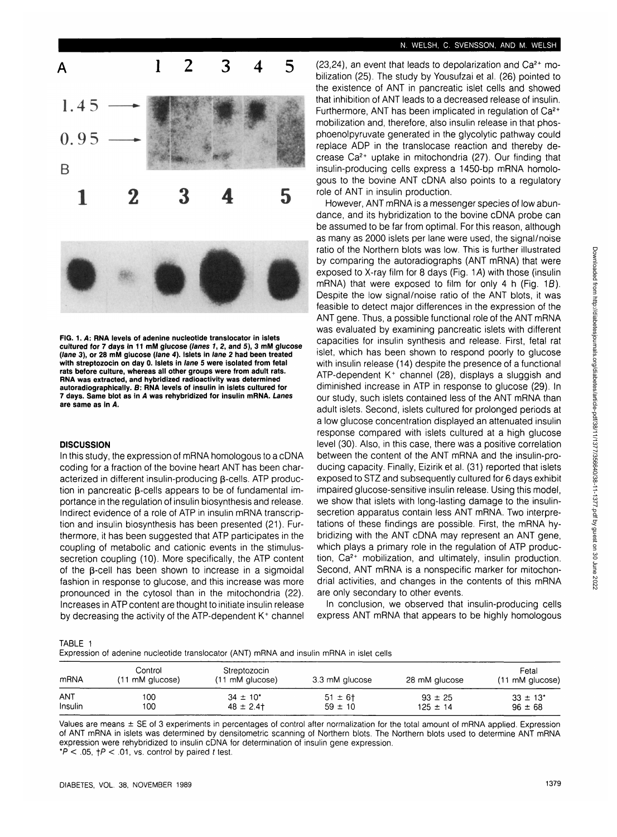



## **DISCUSSION**

In this study, the expression of mRNA homologous to a cDNA coding for a fraction of the bovine heart ANT has been characterized in different insulin-producing  $\beta$ -cells. ATP production in pancreatic B-cells appears to be of fundamental importance in the regulation of insulin biosynthesis and release. Indirect evidence of a role of ATP in insulin mRNA transcription and insulin biosynthesis has been presented (21). Furthermore, it has been suggested that ATP participates in the coupling of metabolic and cationic events in the stimulussecretion coupling (10). More specifically, the ATP content of the p-cell has been shown to increase in a sigmoidal fashion in response to glucose, and this increase was more pronounced in the cytosol than in the mitochondria (22). Increases in ATP content are thought to initiate insulin release by decreasing the activity of the ATP-dependent K<sup>+</sup> channel

 $(23, 24)$ , an event that leads to depolarization and  $Ca<sup>2+</sup>$  mobilization (25). The study by Yousufzai et al. (26) pointed to the existence of ANT in pancreatic islet cells and showed that inhibition of ANT leads to a decreased release of insulin. Furthermore, ANT has been implicated in regulation of Ca<sup>2+</sup> mobilization and, therefore, also insulin release in that phosphoenolpyruvate generated in the glycolytic pathway could replace ADP in the translocase reaction and thereby decrease Ca2+ uptake in mitochondria (27). Our finding that insulin-producing cells express a 1450-bp mRNA homologous to the bovine ANT cDNA also points to a regulatory role of ANT in insulin production.

However, ANT mRNA is a messenger species of low abundance, and its hybridization to the bovine cDNA probe can be assumed to be far from optimal. For this reason, although as many as 2000 islets per lane were used, the signal/noise ratio of the Northern blots was low. This is further illustrated by comparing the autoradiographs (ANT mRNA) that were exposed to X-ray film for 8 days (Fig. 1A) with those (insulin mRNA) that were exposed to film for only 4 h (Fig. 1B). Despite the low signal/noise ratio of the ANT blots, it was feasible to detect major differences in the expression of the ANT gene. Thus, a possible functional role of the ANT mRNA was evaluated by examining pancreatic islets with different capacities for insulin synthesis and release. First, fetal rat islet, which has been shown to respond poorly to glucose with insulin release (14) despite the presence of a functional ATP-dependent K<sup>+</sup> channel (28), displays a sluggish and diminished increase in ATP in response to glucose (29). In our study, such islets contained less of the ANT mRNA than adult islets. Second, islets cultured for prolonged periods at a low glucose concentration displayed an attenuated insulin response compared with islets cultured at a high glucose level (30). Also, in this case, there was a positive correlation between the content of the ANT mRNA and the insulin-producing capacity. Finally, Eizirik et al. (31) reported that islets exposed to STZ and subsequently cultured for 6 days exhibit impaired glucose-sensitive insulin release. Using this model, we show that islets with long-lasting damage to the insulinsecretion apparatus contain less ANT mRNA. Two interpretations of these findings are possible. First, the mRNA hybridizing with the ANT cDNA may represent an ANT gene, which plays a primary role in the regulation of ATP production, Ca2+ mobilization, and ultimately, insulin production. Second, ANT mRNA is a nonspecific marker for mitochondrial activities, and changes in the contents of this mRNA are only secondary to other events.

In conclusion, we observed that insulin-producing cells express ANT mRNA that appears to be highly homologous

TABLE 1

| mRNA    | Control<br>(11 mM glucose) | Streptozocin<br>(11 mM glucose) | 3.3 mM glucose | 28 mM glucose | Fetal<br>(11 mM glucose) |
|---------|----------------------------|---------------------------------|----------------|---------------|--------------------------|
| ANT     | 100                        | $34 \pm 10^*$                   | $51 \pm 6$ †   | $93 \pm 25$   | $33 \pm 13'$             |
| Insulin | 100                        | $48 \pm 2.4$                    | $59 \pm 10$    | $125 \pm 14$  | $96 \pm 68$              |

Values are means ± SE of 3 experiments in percentages of control after normalization for the total amount of mRNA applied. Expression of ANT mRNA in islets was determined by densitometric scanning of Northern blots. The Northern blots used to determine ANT mRNA expression were rehybridized to insulin cDNA for determination of insulin gene expression.  $*P < .05$ ,  $\uparrow P < .01$ , vs. control by paired t test.